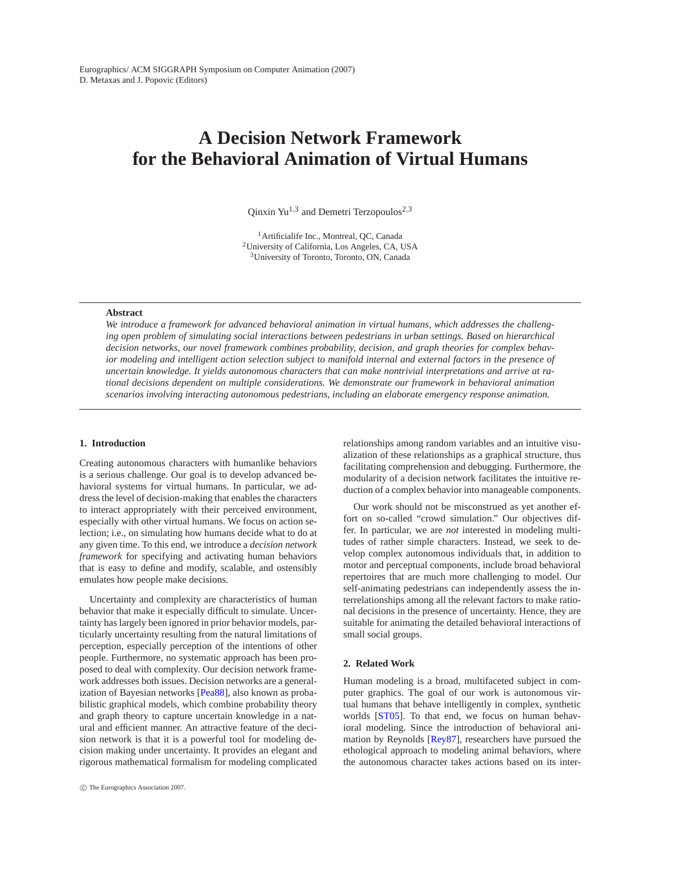# **A Decision Network Framework for the Behavioral Animation of Virtual Humans**

Qinxin Yu<sup>1,3</sup> and Demetri Terzopoulos<sup>2,3</sup>

<sup>1</sup> Artificialife Inc., Montreal, QC, Canada 2University of California, Los Angeles, CA, USA 3University of Toronto, Toronto, ON, Canada

# **Abstract**

*We introduce a framework for advanced behavioral animation in virtual humans, which addresses the challenging open problem of simulating social interactions between pedestrians in urban settings. Based on hierarchical decision networks, our novel framework combines probability, decision, and graph theories for complex behavior modeling and intelligent action selection subject to manifold internal and external factors in the presence of uncertain knowledge. It yields autonomous characters that can make nontrivial interpretations and arrive at rational decisions dependent on multiple considerations. We demonstrate our framework in behavioral animation scenarios involving interacting autonomous pedestrians, including an elaborate emergency response animation.*

# <span id="page-0-0"></span>**1. Introduction**

Creating autonomous characters with humanlike behaviors is a serious challenge. Our goal is to develop advanced behavioral systems for virtual humans. In particular, we address the level of decision-making that enables the characters to interact appropriately with their perceived environment, especially with other virtual humans. We focus on action selection; i.e., on simulating how humans decide what to do at any given time. To this end, we introduce a *decision network framework* for specifying and activating human behaviors that is easy to define and modify, scalable, and ostensibly emulates how people make decisions.

Uncertainty and complexity are characteristics of human behavior that make it especially difficult to simulate. Uncertainty has largely been ignored in prior behavior models, particularly uncertainty resulting from the natural limitations of perception, especially perception of the intentions of other people. Furthermore, no systematic approach has been proposed to deal with complexity. Our decision network framework addresses both issues. Decision networks are a generalization of Bayesian networks [\[Pea88\]](#page-9-0), also known as probabilistic graphical models, which combine probability theory and graph theory to capture uncertain knowledge in a natural and efficient manner. An attractive feature of the decision network is that it is a powerful tool for modeling decision making under uncertainty. It provides an elegant and rigorous mathematical formalism for modeling complicated relationships among random variables and an intuitive visualization of these relationships as a graphical structure, thus facilitating comprehension and debugging. Furthermore, the modularity of a decision network facilitates the intuitive reduction of a complex behavior into manageable components.

Our work should not be misconstrued as yet another effort on so-called "crowd simulation." Our objectives differ. In particular, we are *not* interested in modeling multitudes of rather simple characters. Instead, we seek to develop complex autonomous individuals that, in addition to motor and perceptual components, include broad behavioral repertoires that are much more challenging to model. Our self-animating pedestrians can independently assess the interrelationships among all the relevant factors to make rational decisions in the presence of uncertainty. Hence, they are suitable for animating the detailed behavioral interactions of small social groups.

#### **2. Related Work**

Human modeling is a broad, multifaceted subject in computer graphics. The goal of our work is autonomous virtual humans that behave intelligently in complex, synthetic worlds [\[ST05\]](#page-9-1). To that end, we focus on human behavioral modeling. Since the introduction of behavioral animation by Reynolds [\[Rey87\]](#page-9-2), researchers have pursued the ethological approach to modeling animal behaviors, where the autonomous character takes actions based on its inter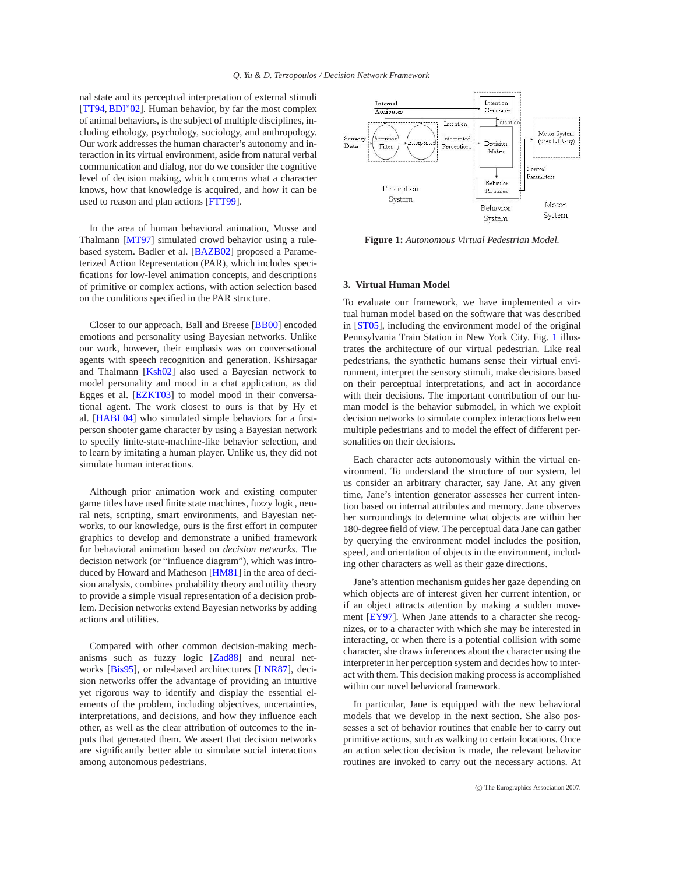nal state and its perceptual interpretation of external stimuli [\[TT94,](#page-9-3)[BDI](#page-9-4)∗02]. Human behavior, by far the most complex of animal behaviors, is the subject of multiple disciplines, including ethology, psychology, sociology, and anthropology. Our work addresses the human character's autonomy and interaction in its virtual environment, aside from natural verbal communication and dialog, nor do we consider the cognitive level of decision making, which concerns what a character knows, how that knowledge is acquired, and how it can be used to reason and plan actions [\[FTT99\]](#page-9-5).

In the area of human behavioral animation, Musse and Thalmann [\[MT97\]](#page-9-6) simulated crowd behavior using a rulebased system. Badler et al. [\[BAZB02\]](#page-9-7) proposed a Parameterized Action Representation (PAR), which includes specifications for low-level animation concepts, and descriptions of primitive or complex actions, with action selection based on the conditions specified in the PAR structure.

Closer to our approach, Ball and Breese [\[BB00\]](#page-9-8) encoded emotions and personality using Bayesian networks. Unlike our work, however, their emphasis was on conversational agents with speech recognition and generation. Kshirsagar and Thalmann [\[Ksh02\]](#page-9-9) also used a Bayesian network to model personality and mood in a chat application, as did Egges et al. [\[EZKT03\]](#page-9-10) to model mood in their conversational agent. The work closest to ours is that by Hy et al. [\[HABL04\]](#page-9-11) who simulated simple behaviors for a firstperson shooter game character by using a Bayesian network to specify finite-state-machine-like behavior selection, and to learn by imitating a human player. Unlike us, they did not simulate human interactions.

Although prior animation work and existing computer game titles have used finite state machines, fuzzy logic, neural nets, scripting, smart environments, and Bayesian networks, to our knowledge, ours is the first effort in computer graphics to develop and demonstrate a unified framework for behavioral animation based on *decision networks*. The decision network (or "influence diagram"), which was introduced by Howard and Matheson [\[HM81\]](#page-9-12) in the area of decision analysis, combines probability theory and utility theory to provide a simple visual representation of a decision problem. Decision networks extend Bayesian networks by adding actions and utilities.

Compared with other common decision-making mechanisms such as fuzzy logic [\[Zad88\]](#page-9-13) and neural networks [\[Bis95\]](#page-9-14), or rule-based architectures [\[LNR87\]](#page-9-15), decision networks offer the advantage of providing an intuitive yet rigorous way to identify and display the essential elements of the problem, including objectives, uncertainties, interpretations, and decisions, and how they influence each other, as well as the clear attribution of outcomes to the inputs that generated them. We assert that decision networks are significantly better able to simulate social interactions among autonomous pedestrians.



**Figure 1:** *Autonomous Virtual Pedestrian Model.*

# <span id="page-1-0"></span>**3. Virtual Human Model**

To evaluate our framework, we have implemented a virtual human model based on the software that was described in [\[ST05\]](#page-9-1), including the environment model of the original Pennsylvania Train Station in New York City. Fig. [1](#page-1-0) illustrates the architecture of our virtual pedestrian. Like real pedestrians, the synthetic humans sense their virtual environment, interpret the sensory stimuli, make decisions based on their perceptual interpretations, and act in accordance with their decisions. The important contribution of our human model is the behavior submodel, in which we exploit decision networks to simulate complex interactions between multiple pedestrians and to model the effect of different personalities on their decisions.

Each character acts autonomously within the virtual environment. To understand the structure of our system, let us consider an arbitrary character, say Jane. At any given time, Jane's intention generator assesses her current intention based on internal attributes and memory. Jane observes her surroundings to determine what objects are within her 180-degree field of view. The perceptual data Jane can gather by querying the environment model includes the position, speed, and orientation of objects in the environment, including other characters as well as their gaze directions.

Jane's attention mechanism guides her gaze depending on which objects are of interest given her current intention, or if an object attracts attention by making a sudden movement [\[EY97\]](#page-9-16). When Jane attends to a character she recognizes, or to a character with which she may be interested in interacting, or when there is a potential collision with some character, she draws inferences about the character using the interpreter in her perception system and decides how to interact with them. This decision making process is accomplished within our novel behavioral framework.

In particular, Jane is equipped with the new behavioral models that we develop in the next section. She also possesses a set of behavior routines that enable her to carry out primitive actions, such as walking to certain locations. Once an action selection decision is made, the relevant behavior routines are invoked to carry out the necessary actions. At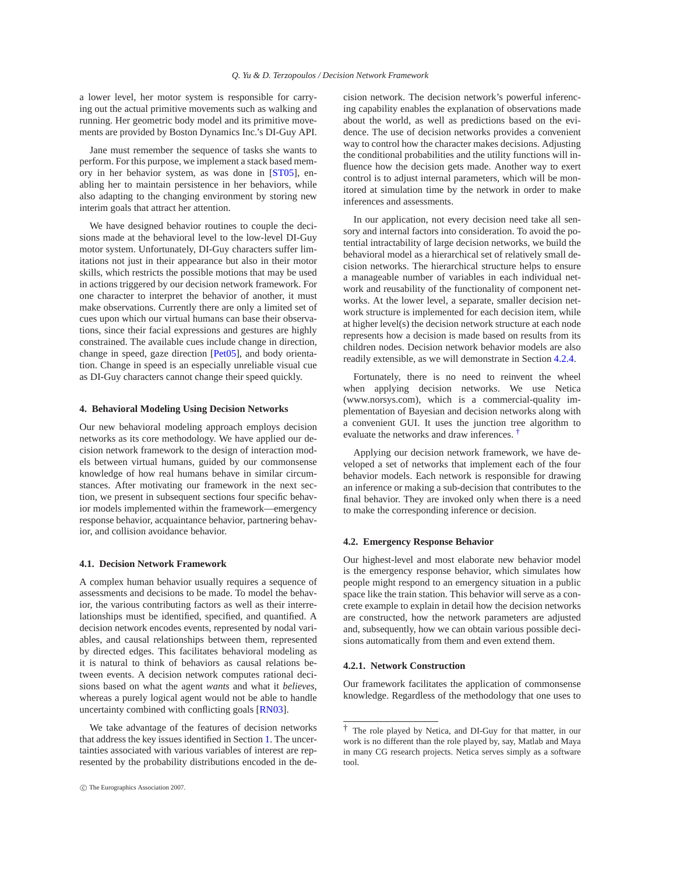a lower level, her motor system is responsible for carrying out the actual primitive movements such as walking and running. Her geometric body model and its primitive movements are provided by Boston Dynamics Inc.'s DI-Guy API.

Jane must remember the sequence of tasks she wants to perform. For this purpose, we implement a stack based memory in her behavior system, as was done in [\[ST05\]](#page-9-1), enabling her to maintain persistence in her behaviors, while also adapting to the changing environment by storing new interim goals that attract her attention.

We have designed behavior routines to couple the decisions made at the behavioral level to the low-level DI-Guy motor system. Unfortunately, DI-Guy characters suffer limitations not just in their appearance but also in their motor skills, which restricts the possible motions that may be used in actions triggered by our decision network framework. For one character to interpret the behavior of another, it must make observations. Currently there are only a limited set of cues upon which our virtual humans can base their observations, since their facial expressions and gestures are highly constrained. The available cues include change in direction, change in speed, gaze direction [\[Pet05\]](#page-9-17), and body orientation. Change in speed is an especially unreliable visual cue as DI-Guy characters cannot change their speed quickly.

#### **4. Behavioral Modeling Using Decision Networks**

Our new behavioral modeling approach employs decision networks as its core methodology. We have applied our decision network framework to the design of interaction models between virtual humans, guided by our commonsense knowledge of how real humans behave in similar circumstances. After motivating our framework in the next section, we present in subsequent sections four specific behavior models implemented within the framework—emergency response behavior, acquaintance behavior, partnering behavior, and collision avoidance behavior.

# **4.1. Decision Network Framework**

A complex human behavior usually requires a sequence of assessments and decisions to be made. To model the behavior, the various contributing factors as well as their interrelationships must be identified, specified, and quantified. A decision network encodes events, represented by nodal variables, and causal relationships between them, represented by directed edges. This facilitates behavioral modeling as it is natural to think of behaviors as causal relations between events. A decision network computes rational decisions based on what the agent *wants* and what it *believes*, whereas a purely logical agent would not be able to handle uncertainty combined with conflicting goals [\[RN03\]](#page-9-18).

We take advantage of the features of decision networks that address the key issues identified in Section [1.](#page-0-0) The uncertainties associated with various variables of interest are represented by the probability distributions encoded in the decision network. The decision network's powerful inferencing capability enables the explanation of observations made about the world, as well as predictions based on the evidence. The use of decision networks provides a convenient way to control how the character makes decisions. Adjusting the conditional probabilities and the utility functions will influence how the decision gets made. Another way to exert control is to adjust internal parameters, which will be monitored at simulation time by the network in order to make inferences and assessments.

In our application, not every decision need take all sensory and internal factors into consideration. To avoid the potential intractability of large decision networks, we build the behavioral model as a hierarchical set of relatively small decision networks. The hierarchical structure helps to ensure a manageable number of variables in each individual network and reusability of the functionality of component networks. At the lower level, a separate, smaller decision network structure is implemented for each decision item, while at higher level(s) the decision network structure at each node represents how a decision is made based on results from its children nodes. Decision network behavior models are also readily extensible, as we will demonstrate in Section [4.2.4.](#page-5-0)

Fortunately, there is no need to reinvent the wheel when applying decision networks. We use Netica (www.norsys.com), which is a commercial-quality implementation of Bayesian and decision networks along with a convenient GUI. It uses the junction tree algorithm to evaluate the networks and draw inferences. [†](#page-2-0)

Applying our decision network framework, we have developed a set of networks that implement each of the four behavior models. Each network is responsible for drawing an inference or making a sub-decision that contributes to the final behavior. They are invoked only when there is a need to make the corresponding inference or decision.

#### **4.2. Emergency Response Behavior**

Our highest-level and most elaborate new behavior model is the emergency response behavior, which simulates how people might respond to an emergency situation in a public space like the train station. This behavior will serve as a concrete example to explain in detail how the decision networks are constructed, how the network parameters are adjusted and, subsequently, how we can obtain various possible decisions automatically from them and even extend them.

#### **4.2.1. Network Construction**

Our framework facilitates the application of commonsense knowledge. Regardless of the methodology that one uses to

<span id="page-2-0"></span><sup>†</sup> The role played by Netica, and DI-Guy for that matter, in our work is no different than the role played by, say, Matlab and Maya in many CG research projects. Netica serves simply as a software tool.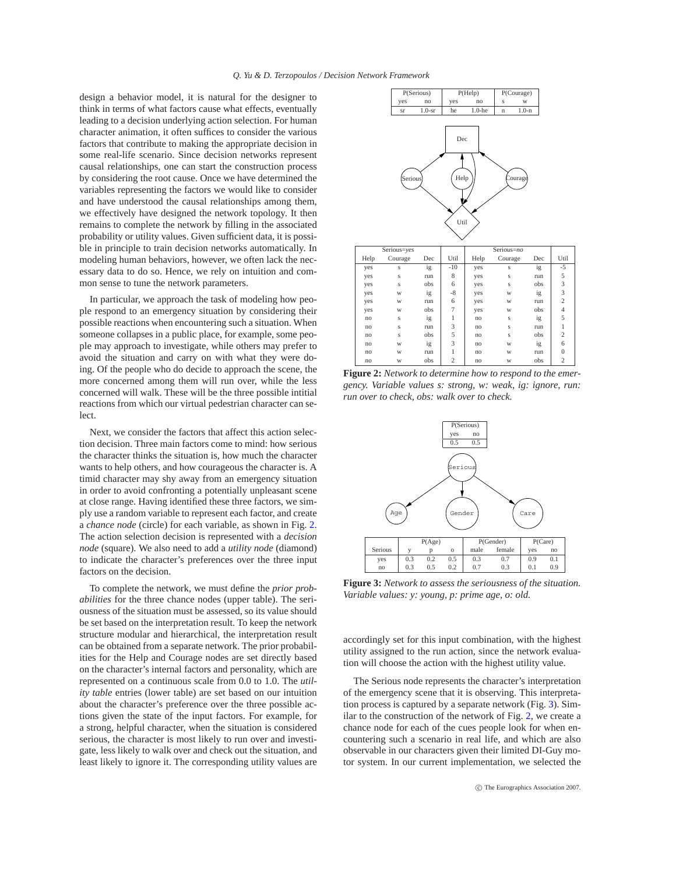design a behavior model, it is natural for the designer to think in terms of what factors cause what effects, eventually leading to a decision underlying action selection. For human character animation, it often suffices to consider the various factors that contribute to making the appropriate decision in some real-life scenario. Since decision networks represent causal relationships, one can start the construction process by considering the root cause. Once we have determined the variables representing the factors we would like to consider and have understood the causal relationships among them, we effectively have designed the network topology. It then remains to complete the network by filling in the associated probability or utility values. Given sufficient data, it is possible in principle to train decision networks automatically. In modeling human behaviors, however, we often lack the necessary data to do so. Hence, we rely on intuition and common sense to tune the network parameters.

In particular, we approach the task of modeling how people respond to an emergency situation by considering their possible reactions when encountering such a situation. When someone collapses in a public place, for example, some people may approach to investigate, while others may prefer to avoid the situation and carry on with what they were doing. Of the people who do decide to approach the scene, the more concerned among them will run over, while the less concerned will walk. These will be the three possible intitial reactions from which our virtual pedestrian character can select.

Next, we consider the factors that affect this action selection decision. Three main factors come to mind: how serious the character thinks the situation is, how much the character wants to help others, and how courageous the character is. A timid character may shy away from an emergency situation in order to avoid confronting a potentially unpleasant scene at close range. Having identified these three factors, we simply use a random variable to represent each factor, and create a *chance node* (circle) for each variable, as shown in Fig. [2.](#page-3-0) The action selection decision is represented with a *decision node* (square). We also need to add a *utility node* (diamond) to indicate the character's preferences over the three input factors on the decision.

To complete the network, we must define the *prior probabilities* for the three chance nodes (upper table). The seriousness of the situation must be assessed, so its value should be set based on the interpretation result. To keep the network structure modular and hierarchical, the interpretation result can be obtained from a separate network. The prior probabilities for the Help and Courage nodes are set directly based on the character's internal factors and personality, which are represented on a continuous scale from 0.0 to 1.0. The *utility table* entries (lower table) are set based on our intuition about the character's preference over the three possible actions given the state of the input factors. For example, for a strong, helpful character, when the situation is considered serious, the character is most likely to run over and investigate, less likely to walk over and check out the situation, and least likely to ignore it. The corresponding utility values are



<span id="page-3-0"></span>**Figure 2:** *Network to determine how to respond to the emergency. Variable values s: strong, w: weak, ig: ignore, run: run over to check, obs: walk over to check.*



<span id="page-3-1"></span>**Figure 3:** *Network to assess the seriousness of the situation. Variable values: y: young, p: prime age, o: old.*

accordingly set for this input combination, with the highest utility assigned to the run action, since the network evaluation will choose the action with the highest utility value.

The Serious node represents the character's interpretation of the emergency scene that it is observing. This interpretation process is captured by a separate network (Fig. [3\)](#page-3-1). Similar to the construction of the network of Fig. [2,](#page-3-0) we create a chance node for each of the cues people look for when encountering such a scenario in real life, and which are also observable in our characters given their limited DI-Guy motor system. In our current implementation, we selected the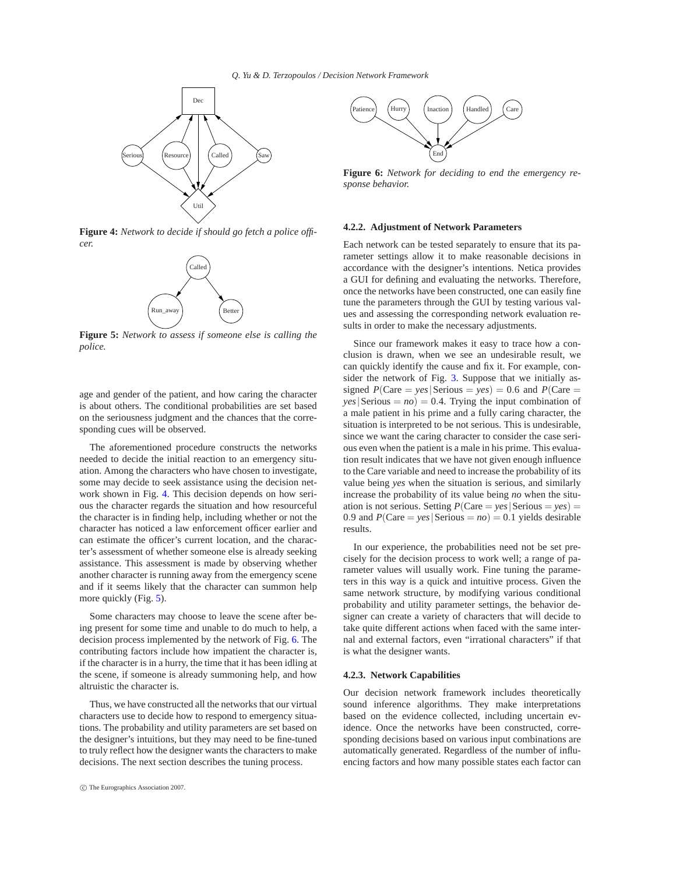

<span id="page-4-0"></span>**Figure 4:** *Network to decide if should go fetch a police officer.*



<span id="page-4-1"></span>**Figure 5:** *Network to assess if someone else is calling the police.*

age and gender of the patient, and how caring the character is about others. The conditional probabilities are set based on the seriousness judgment and the chances that the corresponding cues will be observed.

The aforementioned procedure constructs the networks needed to decide the initial reaction to an emergency situation. Among the characters who have chosen to investigate, some may decide to seek assistance using the decision network shown in Fig. [4.](#page-4-0) This decision depends on how serious the character regards the situation and how resourceful the character is in finding help, including whether or not the character has noticed a law enforcement officer earlier and can estimate the officer's current location, and the character's assessment of whether someone else is already seeking assistance. This assessment is made by observing whether another character is running away from the emergency scene and if it seems likely that the character can summon help more quickly (Fig. [5\)](#page-4-1).

Some characters may choose to leave the scene after being present for some time and unable to do much to help, a decision process implemented by the network of Fig. [6.](#page-4-2) The contributing factors include how impatient the character is, if the character is in a hurry, the time that it has been idling at the scene, if someone is already summoning help, and how altruistic the character is.

Thus, we have constructed all the networks that our virtual characters use to decide how to respond to emergency situations. The probability and utility parameters are set based on the designer's intuitions, but they may need to be fine-tuned to truly reflect how the designer wants the characters to make decisions. The next section describes the tuning process.



<span id="page-4-2"></span>**Figure 6:** *Network for deciding to end the emergency response behavior.*

#### **4.2.2. Adjustment of Network Parameters**

Each network can be tested separately to ensure that its parameter settings allow it to make reasonable decisions in accordance with the designer's intentions. Netica provides a GUI for defining and evaluating the networks. Therefore, once the networks have been constructed, one can easily fine tune the parameters through the GUI by testing various values and assessing the corresponding network evaluation results in order to make the necessary adjustments.

Since our framework makes it easy to trace how a conclusion is drawn, when we see an undesirable result, we can quickly identify the cause and fix it. For example, consider the network of Fig. [3.](#page-3-1) Suppose that we initially assigned  $P(Care = yes |$  Serious =  $yes) = 0.6$  and  $P(Care =$ *|Serious = <i>no*) = 0.4. Trying the input combination of a male patient in his prime and a fully caring character, the situation is interpreted to be not serious. This is undesirable, since we want the caring character to consider the case serious even when the patient is a male in his prime. This evaluation result indicates that we have not given enough influence to the Care variable and need to increase the probability of its value being *yes* when the situation is serious, and similarly increase the probability of its value being *no* when the situation is not serious. Setting  $P(Care = yes |$  Serious =  $yes)$  = 0.9 and  $P(Care = \text{ves} |$ Serious =  $no$ ) = 0.1 yields desirable results.

In our experience, the probabilities need not be set precisely for the decision process to work well; a range of parameter values will usually work. Fine tuning the parameters in this way is a quick and intuitive process. Given the same network structure, by modifying various conditional probability and utility parameter settings, the behavior designer can create a variety of characters that will decide to take quite different actions when faced with the same internal and external factors, even "irrational characters" if that is what the designer wants.

#### **4.2.3. Network Capabilities**

Our decision network framework includes theoretically sound inference algorithms. They make interpretations based on the evidence collected, including uncertain evidence. Once the networks have been constructed, corresponding decisions based on various input combinations are automatically generated. Regardless of the number of influencing factors and how many possible states each factor can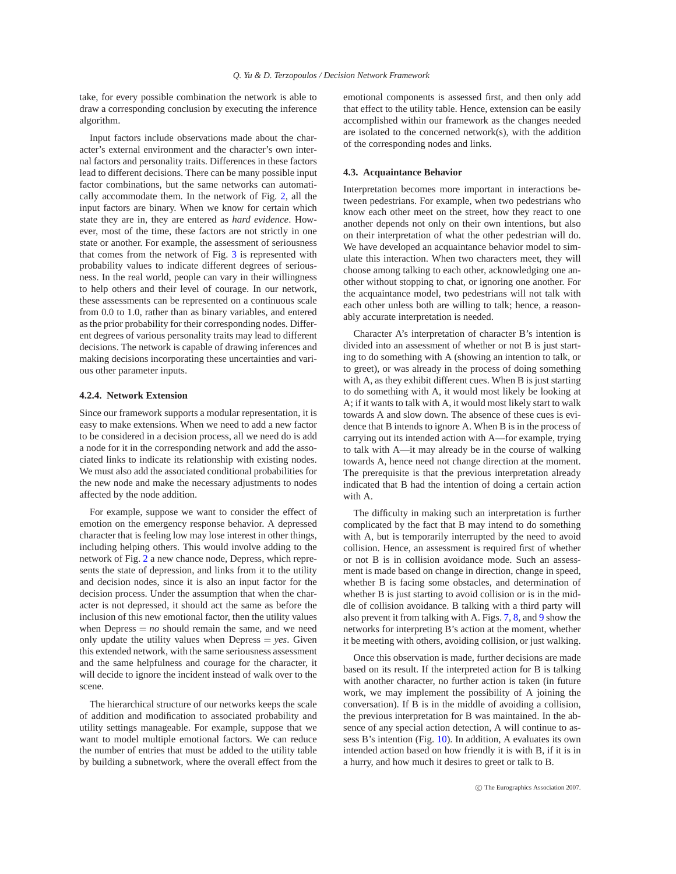take, for every possible combination the network is able to draw a corresponding conclusion by executing the inference algorithm.

Input factors include observations made about the character's external environment and the character's own internal factors and personality traits. Differences in these factors lead to different decisions. There can be many possible input factor combinations, but the same networks can automatically accommodate them. In the network of Fig. [2,](#page-3-0) all the input factors are binary. When we know for certain which state they are in, they are entered as *hard evidence*. However, most of the time, these factors are not strictly in one state or another. For example, the assessment of seriousness that comes from the network of Fig. [3](#page-3-1) is represented with probability values to indicate different degrees of seriousness. In the real world, people can vary in their willingness to help others and their level of courage. In our network, these assessments can be represented on a continuous scale from 0.0 to 1.0, rather than as binary variables, and entered as the prior probability for their corresponding nodes. Different degrees of various personality traits may lead to different decisions. The network is capable of drawing inferences and making decisions incorporating these uncertainties and various other parameter inputs.

### <span id="page-5-0"></span>**4.2.4. Network Extension**

Since our framework supports a modular representation, it is easy to make extensions. When we need to add a new factor to be considered in a decision process, all we need do is add a node for it in the corresponding network and add the associated links to indicate its relationship with existing nodes. We must also add the associated conditional probabilities for the new node and make the necessary adjustments to nodes affected by the node addition.

For example, suppose we want to consider the effect of emotion on the emergency response behavior. A depressed character that is feeling low may lose interest in other things, including helping others. This would involve adding to the network of Fig. [2](#page-3-0) a new chance node, Depress, which represents the state of depression, and links from it to the utility and decision nodes, since it is also an input factor for the decision process. Under the assumption that when the character is not depressed, it should act the same as before the inclusion of this new emotional factor, then the utility values when Depress  $= no$  should remain the same, and we need only update the utility values when Depress  $= \gamma e s$ . Given this extended network, with the same seriousness assessment and the same helpfulness and courage for the character, it will decide to ignore the incident instead of walk over to the scene.

The hierarchical structure of our networks keeps the scale of addition and modification to associated probability and utility settings manageable. For example, suppose that we want to model multiple emotional factors. We can reduce the number of entries that must be added to the utility table by building a subnetwork, where the overall effect from the emotional components is assessed first, and then only add that effect to the utility table. Hence, extension can be easily accomplished within our framework as the changes needed are isolated to the concerned network(s), with the addition of the corresponding nodes and links.

#### **4.3. Acquaintance Behavior**

Interpretation becomes more important in interactions between pedestrians. For example, when two pedestrians who know each other meet on the street, how they react to one another depends not only on their own intentions, but also on their interpretation of what the other pedestrian will do. We have developed an acquaintance behavior model to simulate this interaction. When two characters meet, they will choose among talking to each other, acknowledging one another without stopping to chat, or ignoring one another. For the acquaintance model, two pedestrians will not talk with each other unless both are willing to talk; hence, a reasonably accurate interpretation is needed.

Character A's interpretation of character B's intention is divided into an assessment of whether or not B is just starting to do something with A (showing an intention to talk, or to greet), or was already in the process of doing something with A, as they exhibit different cues. When B is just starting to do something with A, it would most likely be looking at A; if it wants to talk with A, it would most likely start to walk towards A and slow down. The absence of these cues is evidence that B intends to ignore A. When B is in the process of carrying out its intended action with A—for example, trying to talk with A—it may already be in the course of walking towards A, hence need not change direction at the moment. The prerequisite is that the previous interpretation already indicated that B had the intention of doing a certain action with A.

The difficulty in making such an interpretation is further complicated by the fact that B may intend to do something with A, but is temporarily interrupted by the need to avoid collision. Hence, an assessment is required first of whether or not B is in collision avoidance mode. Such an assessment is made based on change in direction, change in speed, whether B is facing some obstacles, and determination of whether B is just starting to avoid collision or is in the middle of collision avoidance. B talking with a third party will also prevent it from talking with A. Figs. [7,](#page-6-0) [8,](#page-6-1) and [9](#page-6-2) show the networks for interpreting B's action at the moment, whether it be meeting with others, avoiding collision, or just walking.

Once this observation is made, further decisions are made based on its result. If the interpreted action for B is talking with another character, no further action is taken (in future work, we may implement the possibility of A joining the conversation). If B is in the middle of avoiding a collision, the previous interpretation for B was maintained. In the absence of any special action detection, A will continue to assess B's intention (Fig. [10\)](#page-6-3). In addition, A evaluates its own intended action based on how friendly it is with B, if it is in a hurry, and how much it desires to greet or talk to B.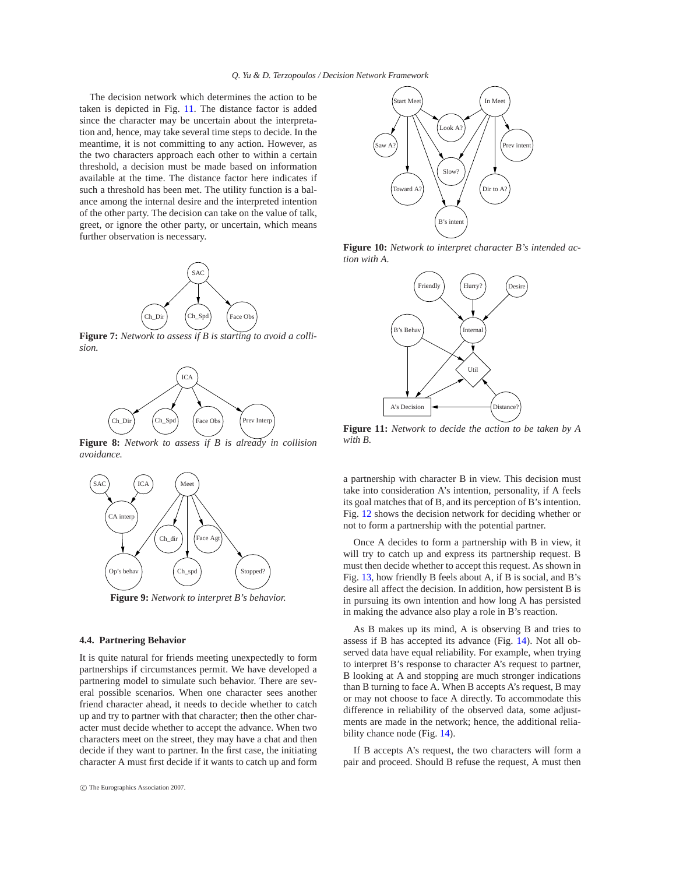The decision network which determines the action to be taken is depicted in Fig. [11.](#page-6-4) The distance factor is added since the character may be uncertain about the interpretation and, hence, may take several time steps to decide. In the meantime, it is not committing to any action. However, as the two characters approach each other to within a certain threshold, a decision must be made based on information available at the time. The distance factor here indicates if such a threshold has been met. The utility function is a balance among the internal desire and the interpreted intention of the other party. The decision can take on the value of talk, greet, or ignore the other party, or uncertain, which means further observation is necessary.



<span id="page-6-0"></span>**Figure 7:** *Network to assess if B is starting to avoid a collision.*



<span id="page-6-1"></span>**Figure 8:** *Network to assess if B is already in collision avoidance.*



**Figure 9:** *Network to interpret B's behavior.*

#### <span id="page-6-2"></span>**4.4. Partnering Behavior**

It is quite natural for friends meeting unexpectedly to form partnerships if circumstances permit. We have developed a partnering model to simulate such behavior. There are several possible scenarios. When one character sees another friend character ahead, it needs to decide whether to catch up and try to partner with that character; then the other character must decide whether to accept the advance. When two characters meet on the street, they may have a chat and then decide if they want to partner. In the first case, the initiating character A must first decide if it wants to catch up and form



<span id="page-6-3"></span>**Figure 10:** *Network to interpret character B's intended action with A.*



<span id="page-6-4"></span>**Figure 11:** *Network to decide the action to be taken by A with B.*

a partnership with character B in view. This decision must take into consideration A's intention, personality, if A feels its goal matches that of B, and its perception of B's intention. Fig. [12](#page-7-0) shows the decision network for deciding whether or not to form a partnership with the potential partner.

Once A decides to form a partnership with B in view, it will try to catch up and express its partnership request. B must then decide whether to accept this request. As shown in Fig. [13,](#page-7-1) how friendly B feels about A, if B is social, and B's desire all affect the decision. In addition, how persistent B is in pursuing its own intention and how long A has persisted in making the advance also play a role in B's reaction.

As B makes up its mind, A is observing B and tries to assess if B has accepted its advance (Fig. [14\)](#page-7-2). Not all observed data have equal reliability. For example, when trying to interpret B's response to character A's request to partner, B looking at A and stopping are much stronger indications than B turning to face A. When B accepts A's request, B may or may not choose to face A directly. To accommodate this difference in reliability of the observed data, some adjustments are made in the network; hence, the additional reliability chance node (Fig. [14\)](#page-7-2).

If B accepts A's request, the two characters will form a pair and proceed. Should B refuse the request, A must then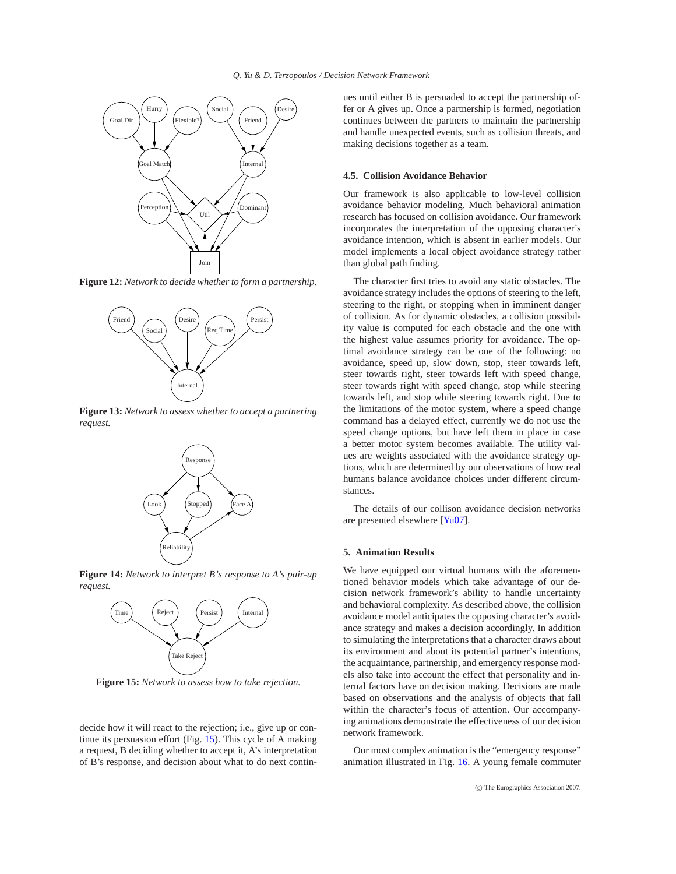

<span id="page-7-0"></span>**Figure 12:** *Network to decide whether to form a partnership.*



<span id="page-7-1"></span>**Figure 13:** *Network to assess whether to accept a partnering request.*



<span id="page-7-2"></span>**Figure 14:** *Network to interpret B's response to A's pair-up request.*



<span id="page-7-3"></span>**Figure 15:** *Network to assess how to take rejection.*

decide how it will react to the rejection; i.e., give up or continue its persuasion effort (Fig. [15\)](#page-7-3). This cycle of A making a request, B deciding whether to accept it, A's interpretation of B's response, and decision about what to do next continues until either B is persuaded to accept the partnership offer or A gives up. Once a partnership is formed, negotiation continues between the partners to maintain the partnership and handle unexpected events, such as collision threats, and making decisions together as a team.

# **4.5. Collision Avoidance Behavior**

Our framework is also applicable to low-level collision avoidance behavior modeling. Much behavioral animation research has focused on collision avoidance. Our framework incorporates the interpretation of the opposing character's avoidance intention, which is absent in earlier models. Our model implements a local object avoidance strategy rather than global path finding.

The character first tries to avoid any static obstacles. The avoidance strategy includes the options of steering to the left, steering to the right, or stopping when in imminent danger of collision. As for dynamic obstacles, a collision possibility value is computed for each obstacle and the one with the highest value assumes priority for avoidance. The optimal avoidance strategy can be one of the following: no avoidance, speed up, slow down, stop, steer towards left, steer towards right, steer towards left with speed change, steer towards right with speed change, stop while steering towards left, and stop while steering towards right. Due to the limitations of the motor system, where a speed change command has a delayed effect, currently we do not use the speed change options, but have left them in place in case a better motor system becomes available. The utility values are weights associated with the avoidance strategy options, which are determined by our observations of how real humans balance avoidance choices under different circumstances.

The details of our collison avoidance decision networks are presented elsewhere [\[Yu07\]](#page-9-19).

# **5. Animation Results**

We have equipped our virtual humans with the aforementioned behavior models which take advantage of our decision network framework's ability to handle uncertainty and behavioral complexity. As described above, the collision avoidance model anticipates the opposing character's avoidance strategy and makes a decision accordingly. In addition to simulating the interpretations that a character draws about its environment and about its potential partner's intentions, the acquaintance, partnership, and emergency response models also take into account the effect that personality and internal factors have on decision making. Decisions are made based on observations and the analysis of objects that fall within the character's focus of attention. Our accompanying animations demonstrate the effectiveness of our decision network framework.

Our most complex animation is the "emergency response" animation illustrated in Fig. [16.](#page-8-0) A young female commuter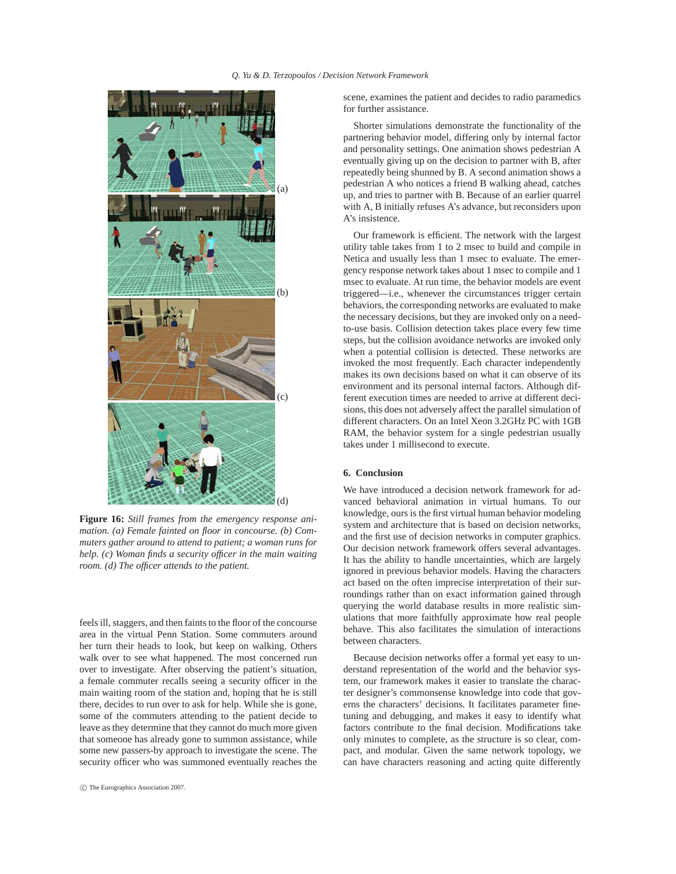

**Figure 16:** *Still frames from the emergency response animation. (a) Female fainted on floor in concourse. (b) Commuters gather around to attend to patient; a woman runs for help. (c) Woman finds a security officer in the main waiting room. (d) The officer attends to the patient.*

feels ill, staggers, and then faints to the floor of the concourse area in the virtual Penn Station. Some commuters around her turn their heads to look, but keep on walking. Others walk over to see what happened. The most concerned run over to investigate. After observing the patient's situation, a female commuter recalls seeing a security officer in the main waiting room of the station and, hoping that he is still there, decides to run over to ask for help. While she is gone, some of the commuters attending to the patient decide to leave as they determine that they cannot do much more given that someone has already gone to summon assistance, while some new passers-by approach to investigate the scene. The security officer who was summoned eventually reaches the

scene, examines the patient and decides to radio paramedics for further assistance.

Shorter simulations demonstrate the functionality of the partnering behavior model, differing only by internal factor and personality settings. One animation shows pedestrian A eventually giving up on the decision to partner with B, after repeatedly being shunned by B. A second animation shows a pedestrian A who notices a friend B walking ahead, catches up, and tries to partner with B. Because of an earlier quarrel with A, B initially refuses A's advance, but reconsiders upon A's insistence.

Our framework is efficient. The network with the largest utility table takes from 1 to 2 msec to build and compile in Netica and usually less than 1 msec to evaluate. The emergency response network takes about 1 msec to compile and 1 msec to evaluate. At run time, the behavior models are event triggered—i.e., whenever the circumstances trigger certain behaviors, the corresponding networks are evaluated to make the necessary decisions, but they are invoked only on a needto-use basis. Collision detection takes place every few time steps, but the collision avoidance networks are invoked only when a potential collision is detected. These networks are invoked the most frequently. Each character independently makes its own decisions based on what it can observe of its environment and its personal internal factors. Although different execution times are needed to arrive at different decisions, this does not adversely affect the parallel simulation of different characters. On an Intel Xeon 3.2GHz PC with 1GB RAM, the behavior system for a single pedestrian usually takes under 1 millisecond to execute.

# **6. Conclusion**

<span id="page-8-0"></span>We have introduced a decision network framework for advanced behavioral animation in virtual humans. To our knowledge, ours is the first virtual human behavior modeling system and architecture that is based on decision networks, and the first use of decision networks in computer graphics. Our decision network framework offers several advantages. It has the ability to handle uncertainties, which are largely ignored in previous behavior models. Having the characters act based on the often imprecise interpretation of their surroundings rather than on exact information gained through querying the world database results in more realistic simulations that more faithfully approximate how real people behave. This also facilitates the simulation of interactions between characters.

Because decision networks offer a formal yet easy to understand representation of the world and the behavior system, our framework makes it easier to translate the character designer's commonsense knowledge into code that governs the characters' decisions. It facilitates parameter finetuning and debugging, and makes it easy to identify what factors contribute to the final decision. Modifications take only minutes to complete, as the structure is so clear, compact, and modular. Given the same network topology, we can have characters reasoning and acting quite differently